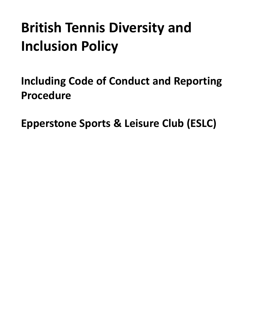# **British Tennis Diversity and Inclusion Policy**

<span id="page-0-0"></span>**Including Code of Conduct and Reporting Procedure**

**Epperstone Sports & Leisure Club (ESLC)**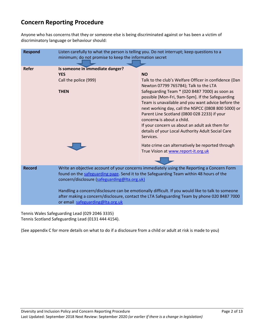### **Concern Reporting Procedure**

Anyone who has concerns that they or someone else is being discriminated against or has been a victim of discriminatory language or behaviour should:

| <b>Respond</b> | Listen carefully to what the person is telling you. Do not interrupt; keep questions to a<br>minimum; do not promise to keep the information secret                                                                                   |                                                                                                                                                                                                                                                                                                                                                                                                                   |
|----------------|---------------------------------------------------------------------------------------------------------------------------------------------------------------------------------------------------------------------------------------|-------------------------------------------------------------------------------------------------------------------------------------------------------------------------------------------------------------------------------------------------------------------------------------------------------------------------------------------------------------------------------------------------------------------|
|                |                                                                                                                                                                                                                                       |                                                                                                                                                                                                                                                                                                                                                                                                                   |
| Refer          | Is someone in immediate danger?                                                                                                                                                                                                       |                                                                                                                                                                                                                                                                                                                                                                                                                   |
|                | <b>YES</b>                                                                                                                                                                                                                            | <b>NO</b>                                                                                                                                                                                                                                                                                                                                                                                                         |
|                | Call the police (999)                                                                                                                                                                                                                 | Talk to the club's Welfare Officer in confidence (Dan<br>Newton 07799 765784); Talk to the LTA                                                                                                                                                                                                                                                                                                                    |
|                | <b>THEN</b>                                                                                                                                                                                                                           | Safeguarding Team * (020 8487 7000) as soon as<br>possible [Mon-Fri, 9am-5pm]. If the Safeguarding<br>Team is unavailable and you want advice before the<br>next working day, call the NSPCC (0808 800 5000) or<br>Parent Line Scotland (0800 028 2233) if your<br>concerns is about a child.<br>If your concern us about an adult ask them for<br>details of your Local Authority Adult Social Care<br>Services. |
|                |                                                                                                                                                                                                                                       | Hate crime can alternatively be reported through<br>True Vision at www.report-it.org.uk                                                                                                                                                                                                                                                                                                                           |
|                |                                                                                                                                                                                                                                       |                                                                                                                                                                                                                                                                                                                                                                                                                   |
| <b>Record</b>  | Write an objective account of your concerns immediately using the Reporting a Concern Form<br>found on the safeguarding page. Send it to the Safeguarding Team within 48 hours of the<br>concern/disclosure (safeguarding@Ita.org.uk) |                                                                                                                                                                                                                                                                                                                                                                                                                   |
|                | Handling a concern/disclosure can be emotionally difficult. If you would like to talk to someone<br>after making a concern/disclosure, contact the LTA Safeguarding Team by phone 020 8487 7000<br>or email safeguarding@Ita.org.uk   |                                                                                                                                                                                                                                                                                                                                                                                                                   |

Tennis Wales Safeguarding Lead (029 2046 3335) Tennis Scotland Safeguarding Lead (0131 444 4154).

(See appendix C for more details on what to do if a disclosure from a child or adult at risk is made to you)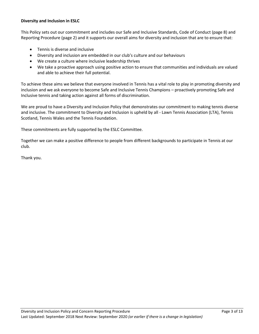#### **Diversity and Inclusion in ESLC**

This Policy sets out our commitment and includes our Safe and Inclusive Standards, Code of Conduct (page 8) and Reporting Procedure (page 2) and it supports our overall aims for diversity and inclusion that are to ensure that:

- Tennis is diverse and inclusive
- Diversity and inclusion are embedded in our club's culture and our behaviours
- We create a culture where inclusive leadership thrives
- We take a proactive approach using positive action to ensure that communities and individuals are valued and able to achieve their full potential.

To achieve these aims we believe that everyone involved in Tennis has a vital role to play in promoting diversity and inclusion and we ask everyone to become Safe and Inclusive Tennis Champions – proactively promoting Safe and Inclusive tennis and taking action against all forms of discrimination.

We are proud to have a Diversity and Inclusion Policy that demonstrates our commitment to making tennis diverse and inclusive. The commitment to Diversity and Inclusion is upheld by all - Lawn Tennis Association (LTA), Tennis Scotland, Tennis Wales and the Tennis Foundation.

These commitments are fully supported by the ESLC Committee.

Together we can make a positive difference to people from different backgrounds to participate in Tennis at our club.

Thank you.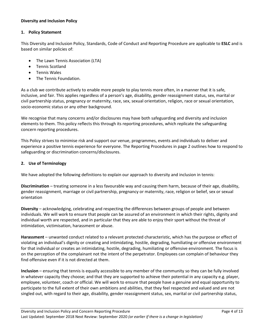#### **Diversity and Inclusion Policy**

#### **1. Policy Statement**

This Diversity and Inclusion Policy, Standards, Code of Conduct and Reporting Procedure are applicable to **ESLC** and is based on similar policies of:

- The Lawn Tennis Association (LTA)
- Tennis Scotland
- Tennis Wales
- The Tennis Foundation.

As a club we contribute actively to enable more people to play tennis more often, in a manner that it is safe, inclusive, and fair. This applies regardless of a person's age, disability, gender reassignment status, sex, marital or civil partnership status, pregnancy or maternity, race, sex, sexual orientation, religion, race or sexual orientation, socio-economic status or any other background.

We recognise that many concerns and/or disclosures may have both safeguarding and diversity and inclusion elements to them. This policy reflects this through its reporting procedures, which replicate the safeguarding concern reporting procedures.

This Policy strives to minimise risk and support our venue, programmes, events and individuals to deliver and experience a positive tennis experience for everyone. The Reporting Procedures in page 2 outlines how to respond to safeguarding or discrimination concerns/disclosures.

#### **2. Use of Terminology**

We have adopted the following definitions to explain our approach to diversity and inclusion in tennis:

**Discrimination** – treating someone in a less favourable way and causing them harm, because of their age, disability, gender reassignment, marriage or civil partnership, pregnancy or maternity, race, religion or belief, sex or sexual orientation

**Diversity** – acknowledging, celebrating and respecting the differences between groups of people and between individuals. We will work to ensure that people can be assured of an environment in which their rights, dignity and individual worth are respected, and in particular that they are able to enjoy their sport without the threat of intimidation, victimisation, harassment or abuse.

**Harassment** – unwanted conduct related to a relevant protected characteristic, which has the purpose or effect of violating an individual's dignity or creating and intimidating, hostile, degrading, humiliating or offensive environment for that individual or creates an intimidating, hostile, degrading, humiliating or offensive environment. The focus is on the perception of the complainant not the intent of the perpetrator. Employees can complain of behaviour they find offensive even if it is not directed at them.

**Inclusion** – ensuring that tennis is equally accessible to any member of the community so they can be fully involved in whatever capacity they choose; and that they are supported to achieve their potential in any capacity e.g. player, employee, volunteer, coach or official. We will work to ensure that people have a genuine and equal opportunity to participate to the full extent of their own ambitions and abilities, that they feel respected and valued and are not singled out, with regard to their age, disability, gender reassignment status, sex, marital or civil partnership status,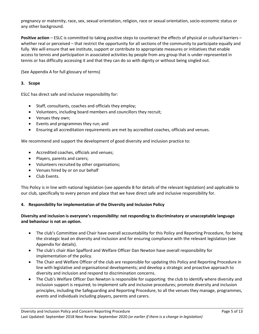pregnancy or maternity, race, sex, sexual orientation, religion, race or sexual orientation, socio-economic status or any other background.

**Positive action** – ESLC is committed to taking positive steps to counteract the effects of physical or cultural barriers – whether real or perceived – that restrict the opportunity for all sections of the community to participate equally and fully. We will ensure that we institute, support or contribute to appropriate measures or initiatives that enable access to tennis and participation in associated activities by people from any group that is under-represented in tennis or has difficulty accessing it and that they can do so with dignity or without being singled out.

(See Appendix A for full glossary of terms)

#### **3. Scope**

ESLC has direct safe and inclusive responsibility for:

- Staff, consultants, coaches and officials they employ;
- Volunteers, including board members and councillors they recruit;
- Venues they own;
- Events and programmes they run; and
- Ensuring all accreditation requirements are met by accredited coaches, officials and venues.

We recommend and support the development of good diversity and inclusion practice to:

- Accredited coaches, officials and venues;
- Players, parents and carers;
- Volunteers recruited by other organisations;
- Venues hired by or on our behalf
- Club Events.

This Policy is in line with national legislation (see appendix B for details of the relevant legislation) and applicable to our club, specifically to every person and place that we have direct safe and inclusive responsibility for.

#### **4. Responsibility for implementation of the Diversity and Inclusion Policy**

#### **Diversity and inclusion is everyone's responsibility: not responding to discriminatory or unacceptable language and behaviour is not an option.**

- The club's Committee and Chair have overall accountability for this Policy and Reporting Procedure, for being the strategic lead on diversity and inclusion and for ensuring compliance with the relevant legislation (see Appendix for details).
- The club's chair Alan Spafford and Welfare Officer Dan Newton have overall responsibility for implementation of the policy.
- The Chair and Welfare Officer of the club are responsible for updating this Policy and Reporting Procedure in line with legislative and organisational developments; and develop a strategic and proactive approach to diversity and inclusion and respond to discrimination concerns.
- The Club's Welfare Officer Dan Newton is responsible for supporting the club to identify where diversity and inclusion support is required; to implement safe and inclusive procedures; promote diversity and inclusion principles, including the Safeguarding and Reporting Procedure, to all the venues they manage, programmes, events and individuals including players, parents and carers.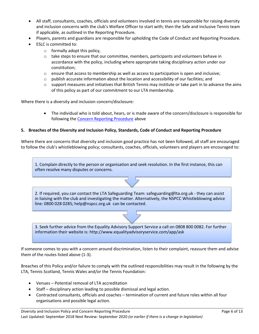- All staff, consultants, coaches, officials and volunteers involved in tennis are responsible for raising diversity and inclusion concerns with the club's Welfare Officer to start with; then the Safe and Inclusive Tennis team if applicable, as outlined in the Reporting Procedure.
- Players, parents and guardians are responsible for upholding the Code of Conduct and Reporting Procedure.
- ESLC is committed to:
	- $\circ$  formally adopt this policy,
	- $\circ$  take steps to ensure that our committee, members, participants and volunteers behave in accordance with the policy, including where appropriate taking disciplinary action under our constitution;
	- $\circ$  ensure that access to membership as well as access to participation is open and inclusive;
	- $\circ$  publish accurate information about the location and accessibility of our facilities; and
	- $\circ$  support measures and initiatives that British Tennis may institute or take part in to advance the aims of this policy as part of our commitment to our LTA membership.

Where there is a diversity and inclusion concern/disclosure:

• The individual who is told about, hears, or is made aware of the concern/disclosure is responsible for following the [Concern Reporting Procedure](#page-0-0) above

#### **5. Breaches of the Diversity and Inclusion Policy, Standards, Code of Conduct and Reporting Procedure**

Where there are concerns that diversity and inclusion good practice has not been followed, all staff are encouraged to follow the club's whistleblowing policy; consultants, coaches, officials, volunteers and players are encouraged to:

1. Complain directly to the person or organisation and seek resolution. In the first instance, this can often resolve many disputes or concerns.

2. If required, you can contact the LTA Safeguarding Team: safeguarding@lta.org.uk - they can assist in liaising with the club and investigating the matter. Alternatively, the NSPCC Whistleblowing advice line: 0800 028 0285; help@nspcc.org.uk can be contacted.



3. Seek further advice from the Equality Advisory Support Service a call on 0808 800 0082. For further information their website is: http://www.equalityadvisoryservice.com/app/ask

If someone comes to you with a concern around discrimination, listen to their complaint, reassure them and advise them of the routes listed above (1-3).

Breaches of this Policy and/or failure to comply with the outlined responsibilities may result in the following by the LTA, Tennis Scotland, Tennis Wales and/or the Tennis Foundation:

- Venues Potential removal of LTA accreditation
- Staff disciplinary action leading to possible dismissal and legal action.
- Contracted consultants, officials and coaches termination of current and future roles within all four organisations and possible legal action.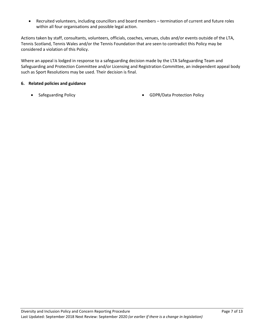• Recruited volunteers, including councillors and board members – termination of current and future roles within all four organisations and possible legal action.

Actions taken by staff, consultants, volunteers, officials, coaches, venues, clubs and/or events outside of the LTA, Tennis Scotland, Tennis Wales and/or the Tennis Foundation that are seen to contradict this Policy may be considered a violation of this Policy.

Where an appeal is lodged in response to a safeguarding decision made by the LTA Safeguarding Team and Safeguarding and Protection Committee and/or Licensing and Registration Committee, an independent appeal body such as Sport Resolutions may be used. Their decision is final.

#### **6. Related policies and guidance**

- 
- Safeguarding Policy GDPR/Data Protection Policy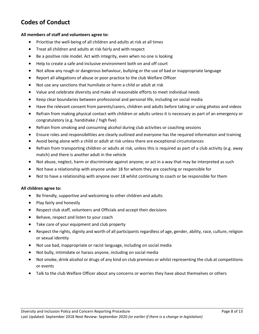## **Codes of Conduct**

#### **All members of staff and volunteers agree to:**

- Prioritise the well-being of all children and adults at risk at all times
- Treat all children and adults at risk fairly and with respect
- Be a positive role model. Act with integrity, even when no one is looking
- Help to create a safe and inclusive environment both on and off court
- Not allow any rough or dangerous behaviour, bullying or the use of bad or inappropriate language
- Report all allegations of abuse or poor practice to the club Welfare Officer
- Not use any sanctions that humiliate or harm a child or adult at risk
- Value and celebrate diversity and make all reasonable efforts to meet individual needs
- Keep clear boundaries between professional and personal life, including on social media
- Have the relevant consent from parents/carers, children and adults before taking or using photos and videos
- Refrain from making physical contact with children or adults unless it is necessary as part of an emergency or congratulatory (e.g. handshake / high five)
- Refrain from smoking and consuming alcohol during club activities or coaching sessions
- Ensure roles and responsibilities are clearly outlined and everyone has the required information and training
- Avoid being alone with a child or adult at risk unless there are exceptional circumstances
- Refrain from transporting children or adults at risk, unless this is required as part of a club activity (e.g. away match) and there is another adult in the vehicle
- Not abuse, neglect, harm or discriminate against anyone; or act in a way that may be interpreted as such
- Not have a relationship with anyone under 18 for whom they are coaching or responsible for
- Not to have a relationship with anyone over 18 whilst continuing to coach or be responsible for them

#### **All children agree to:**

- Be friendly, supportive and welcoming to other children and adults
- Play fairly and honestly
- Respect club staff, volunteers and Officials and accept their decisions
- Behave, respect and listen to your coach
- Take care of your equipment and club property
- Respect the rights, dignity and worth of all participants regardless of age, gender, ability, race, culture, religion or sexual identity
- Not use bad, inappropriate or racist language, including on social media
- Not bully, intimidate or harass anyone, including on social media
- Not smoke, drink alcohol or drugs of any kind on club premises or whilst representing the club at competitions or events
- Talk to the club Welfare Officer about any concerns or worries they have about themselves or others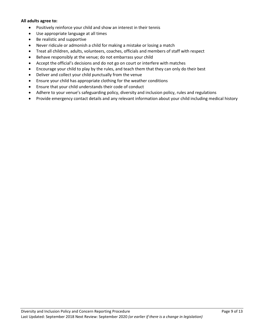#### **All adults agree to:**

- Positively reinforce your child and show an interest in their tennis
- Use appropriate language at all times
- Be realistic and supportive
- Never ridicule or admonish a child for making a mistake or losing a match
- Treat all children, adults, volunteers, coaches, officials and members of staff with respect
- Behave responsibly at the venue; do not embarrass your child
- Accept the official's decisions and do not go on court or interfere with matches
- Encourage your child to play by the rules, and teach them that they can only do their best
- Deliver and collect your child punctually from the venue
- Ensure your child has appropriate clothing for the weather conditions
- Ensure that your child understands their code of conduct
- Adhere to your venue's safeguarding policy, diversity and inclusion policy, rules and regulations
- Provide emergency contact details and any relevant information about your child including medical history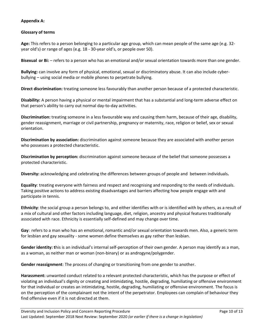#### **Appendix A:**

#### **Glossary of terms**

**Age:** This refers to a person belonging to a particular age group, which can mean people of the same age (e.g. 32 year old's) or range of ages (e.g. 18 - 30-year old's, or people over 50).

**Bisexual or Bi:** – refers to a person who has an emotional and/or sexual orientation towards more than one gender.

**Bullying:** can involve any form of physical, emotional, sexual or discriminatory abuse. It can also include cyberbullying – using social media or mobile phones to perpetrate bullying.

**Direct discrimination:** treating someone less favourably than another person because of a protected characteristic.

**Disability:** A person having a physical or mental impairment that has a substantial and long-term adverse effect on that person's ability to carry out normal day-to-day activities.

**Discrimination:** treating someone in a less favourable way and causing them harm, because of their age, disability, gender reassignment, marriage or civil partnership, pregnancy or maternity, race, religion or belief, sex or sexual orientation.

**Discrimination by association:** discrimination against someone because they are associated with another person who possesses a protected characteristic.

**Discrimination by perception:** discrimination against someone because of the belief that someone possesses a protected characteristic.

**Diversity:** acknowledging and celebrating the differences between groups of people and between individuals**.**

**Equality**: treating everyone with fairness and respect and recognising and responding to the needs of individuals. Taking positive actions to address existing disadvantages and barriers affecting how people engage with and participate in tennis.

**Ethnicity**: the social group a person belongs to, and either identifies with or is identified with by others, as a result of a mix of cultural and other factors including language, diet, religion, ancestry and physical features traditionally associated with race. Ethnicity is essentially self-defined and may change over time.

**Gay**: refers to a man who has an emotional, romantic and/or sexual orientation towards men. Also, a generic term for lesbian and gay sexuality - some women define themselves as gay rather than lesbian.

**Gender identity: t**his is an individual's internal self-perception of their own gender. A person may identify as a man, as a woman, as neither man or woman (non-binary) or as androgyne/polygender.

**Gender reassignment**: The process of changing or transitioning from one gender to another.

**Harassment:** unwanted conduct related to a relevant protected characteristic, which has the purpose or effect of violating an individual's dignity or creating and intimidating, hostile, degrading, humiliating or offensive environment for that individual or creates an intimidating, hostile, degrading, humiliating or offensive environment. The focus is on the perception of the complainant not the intent of the perpetrator. Employees can complain of behaviour they find offensive even if it is not directed at them.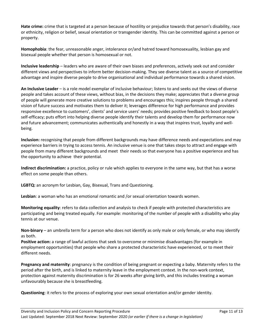**Hate crime:** crime that is targeted at a person because of hostility or prejudice towards that person's disability, race or ethnicity, religion or belief, sexual orientation or transgender identity. This can be committed against a person or property.

**Homophobia**: the fear, unreasonable anger, intolerance or/and hatred toward homosexuality, lesbian gay and bisexual people whether that person is homosexual or not.

**Inclusive leadership** – leaders who are aware of their own biases and preferences, actively seek out and consider different views and perspectives to inform better decision-making. They see diverse talent as a source of competitive advantage and inspire diverse people to drive organisational and individual performance towards a shared vision.

**An Inclusive Leader** – is a role model exemplar of inclusive behaviour; listens to and seeks out the views of diverse people and takes account of these views, without bias, in the decisions they make; appreciates that a diverse group of people will generate more creative solutions to problems and encourages this; inspires people through a shared vision of future success and motivates them to deliver it; leverages difference for high performance and provides responsive excellence to customers', clients' and service users' needs; provides positive feedback to boost people's self-efficacy; puts effort into helping diverse people identify their talents and develop them for performance now and future advancement; communicates authentically and honestly in a way that inspires trust, loyalty and wellbeing.

**Inclusion:** recognising that people from different backgrounds may have difference needs and expectations and may experience barriers in trying to access tennis. An inclusive venue is one that takes steps to attract and engage with people from many different backgrounds and meet their needs so that everyone has a positive experience and has the opportunity to achieve their potential.

**Indirect discrimination:** a practice, policy or rule which applies to everyone in the same way, but that has a worse effect on some people than others.

**LGBTQ:** an acronym for Lesbian, Gay, Bisexual, Trans and Questioning.

**Lesbian**: a woman who has an emotional romantic and /or sexual orientation towards women.

**Monitoring equality**: refers to data collection and analysis to check if people with protected characteristics are participating and being treated equally. For example: monitoring of the number of people with a disability who play tennis at our venue.

**Non-binary** – an umbrella term for a person who does not identify as only male or only female, or who may identify as both.

**Positive action:** a range of lawful actions that seek to overcome or minimise disadvantages (for example in employment opportunities) that people who share a protected characteristic have experienced, or to meet their different needs.

**Pregnancy and maternity**: pregnancy is the condition of being pregnant or expecting a baby. Maternity refers to the period after the birth, and is linked to maternity leave in the employment context. In the non-work context, protection against maternity discrimination is for 26 weeks after giving birth, and this includes treating a woman unfavourably because she is breastfeeding.

**Questioning**: it refers to the process of exploring your own sexual orientation and/or gender identity.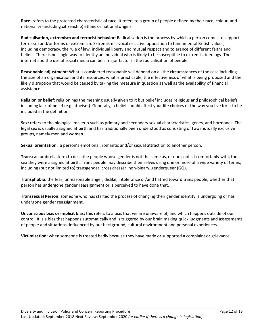**Race:** refers to the protected characteristic of race. It refers to a group of people defined by their race, colour, and nationality (including citizenship) ethnic or national origins.

**Radicalisation, extremism and terrorist behavior**: Radicalisation is the process by which a person comes to support terrorism and/or forms of extremism. Extremism is vocal or active opposition to fundamental British values, including democracy, the rule of law, individual liberty and mutual respect and tolerance of different faiths and beliefs. There is no single way to identify an individual who is likely to be susceptible to extremist ideology. The internet and the use of social media can be a major factor in the radicalisation of people.

**Reasonable adjustment**: What is considered reasonable will depend on all the circumstances of the case including the size of an organisation and its resources, what is practicable, the effectiveness of what is being proposed and the likely disruption that would be caused by taking the measure in question as well as the availability of financial assistance

**Religion or belief:** religion has the meaning usually given to it but belief includes religious and philosophical beliefs including lack of belief (e.g. atheism). Generally, a belief should affect your life choices or the way you live for it to be included in the definition.

**Sex:** refers to the biological makeup such as primary and secondary sexual characteristics, genes, and hormones. The legal sex is usually assigned at birth and has traditionally been understood as consisting of two mutually exclusive groups, namely men and women.

**Sexual orientation:** a person's emotional, romantic and/or sexual attraction to another person.

**Trans:** an umbrella term to describe people whose gender is not the same as, or does not sit comfortably with, the sex they were assigned at birth. Trans people may describe themselves using one or more of a wide variety of terms, including (but not limited to) transgender, cross dresser, non-binary, genderqueer (GQ).

**Transphobia**: the fear, unreasonable anger, dislike, intolerance or/and hatred toward trans people, whether that person has undergone gender reassignment or is perceived to have done that.

**Transsexual Person:** someone who has started the process of changing their gender identity is undergoing or has undergone gender reassignment.

**Unconscious bias or implicit bias:** this refers to a bias that we are unaware of, and which happens outside of our control. It is a bias that happens automatically and is triggered by our brain making quick judgments and assessments of people and situations, influenced by our background, cultural environment and personal experiences.

**Victimisation:** when someone is treated badly because they have made or supported a complaint or grievance.